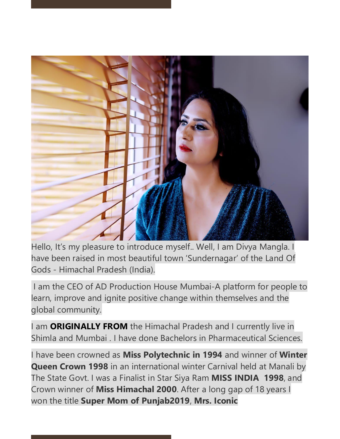

Hello, It's my pleasure to introduce myself.. Well, I am Divya Mangla. I have been raised in most beautiful town 'Sundernagar' of the Land Of Gods - Himachal Pradesh (India).

I am the CEO of AD Production House Mumbai-A platform for people to learn, improve and ignite positive change within themselves and the global community.

I am **ORIGINALLY FROM** the Himachal Pradesh and I currently live in Shimla and Mumbai . I have done Bachelors in Pharmaceutical Sciences.

I have been crowned as **Miss Polytechnic in 1994** and winner of **Winter Queen Crown 1998** in an international winter Carnival held at Manali by The State Govt. I was a Finalist in Star Siya Ram **MISS INDIA 1998**, and Crown winner of **Miss Himachal 2000**. After a long gap of 18 years I won the title **Super Mom of Punjab2019**, **Mrs. Iconic**